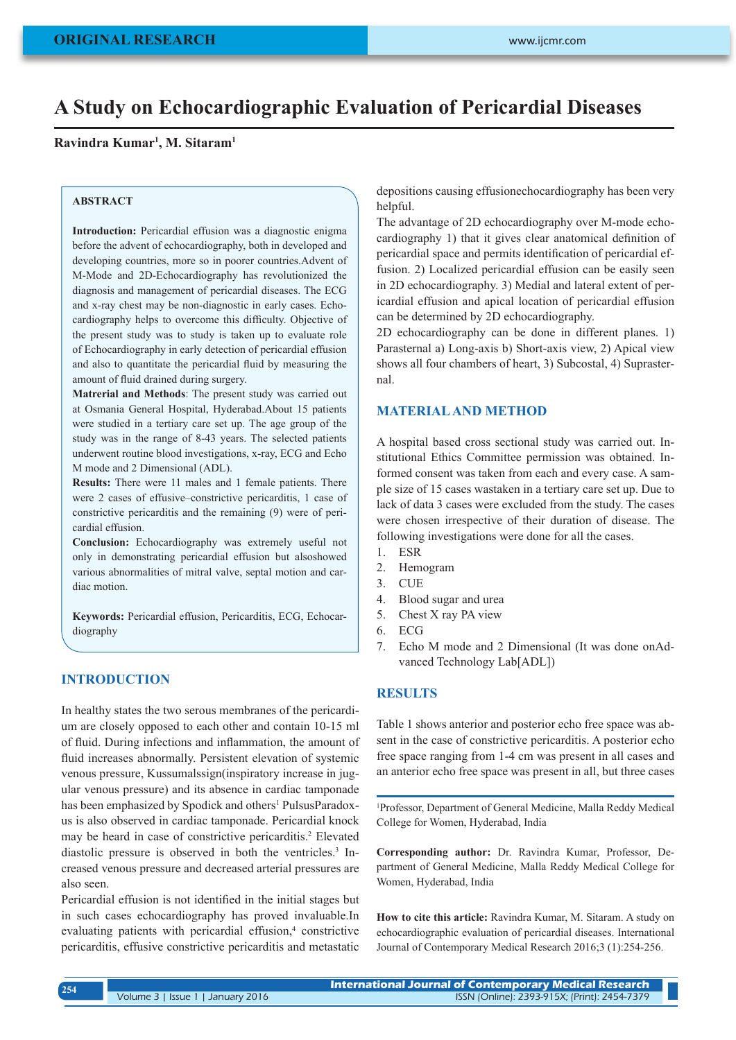# **A Study on Echocardiographic Evaluation of Pericardial Diseases**

### **Ravindra Kumar1 , M. Sitaram1**

#### **ABSTRACT**

**Introduction:** Pericardial effusion was a diagnostic enigma before the advent of echocardiography, both in developed and developing countries, more so in poorer countries.Advent of M-Mode and 2D-Echocardiography has revolutionized the diagnosis and management of pericardial diseases. The ECG and x-ray chest may be non-diagnostic in early cases. Echocardiography helps to overcome this difficulty. Objective of the present study was to study is taken up to evaluate role of Echocardiography in early detection of pericardial effusion and also to quantitate the pericardial fluid by measuring the amount of fluid drained during surgery.

**Matrerial and Methods**: The present study was carried out at Osmania General Hospital, Hyderabad.About 15 patients were studied in a tertiary care set up. The age group of the study was in the range of 8-43 years. The selected patients underwent routine blood investigations, x-ray, ECG and Echo M mode and 2 Dimensional (ADL).

**Results:** There were 11 males and 1 female patients. There were 2 cases of effusive–constrictive pericarditis, 1 case of constrictive pericarditis and the remaining (9) were of pericardial effusion.

**Conclusion:** Echocardiography was extremely useful not only in demonstrating pericardial effusion but alsoshowed various abnormalities of mitral valve, septal motion and cardiac motion.

**Keywords:** Pericardial effusion, Pericarditis, ECG, Echocardiography

### **INTRODUCTION**

In healthy states the two serous membranes of the pericardium are closely opposed to each other and contain 10-15 ml of fluid. During infections and inflammation, the amount of fluid increases abnormally. Persistent elevation of systemic venous pressure, Kussumalssign(inspiratory increase in jugular venous pressure) and its absence in cardiac tamponade has been emphasized by Spodick and others<sup>1</sup> PulsusParadoxus is also observed in cardiac tamponade. Pericardial knock may be heard in case of constrictive pericarditis.<sup>2</sup> Elevated diastolic pressure is observed in both the ventricles.<sup>3</sup> Increased venous pressure and decreased arterial pressures are also seen.

Pericardial effusion is not identified in the initial stages but in such cases echocardiography has proved invaluable.In evaluating patients with pericardial effusion,<sup>4</sup> constrictive pericarditis, effusive constrictive pericarditis and metastatic

depositions causing effusionechocardiography has been very helpful.

The advantage of 2D echocardiography over M-mode echocardiography 1) that it gives clear anatomical definition of pericardial space and permits identification of pericardial effusion. 2) Localized pericardial effusion can be easily seen in 2D echocardiography. 3) Medial and lateral extent of pericardial effusion and apical location of pericardial effusion can be determined by 2D echocardiography.

2D echocardiography can be done in different planes. 1) Parasternal a) Long-axis b) Short-axis view, 2) Apical view shows all four chambers of heart, 3) Subcostal, 4) Suprasternal.

# **MATERIAL AND METHOD**

A hospital based cross sectional study was carried out. Institutional Ethics Committee permission was obtained. Informed consent was taken from each and every case. A sample size of 15 cases wastaken in a tertiary care set up. Due to lack of data 3 cases were excluded from the study. The cases were chosen irrespective of their duration of disease. The following investigations were done for all the cases.

- 1. ESR
- 2. Hemogram
- 3. CUE
- 4. Blood sugar and urea
- 5. Chest X ray PA view
- 6. ECG
- 7. Echo M mode and 2 Dimensional (It was done onAdvanced Technology Lab[ADL])

## **RESULTS**

Table 1 shows anterior and posterior echo free space was absent in the case of constrictive pericarditis. A posterior echo free space ranging from 1-4 cm was present in all cases and an anterior echo free space was present in all, but three cases

1 Professor, Department of General Medicine, Malla Reddy Medical College for Women, Hyderabad, India

**Corresponding author:** Dr. Ravindra Kumar, Professor, Department of General Medicine, Malla Reddy Medical College for Women, Hyderabad, India

**How to cite this article:** Ravindra Kumar, M. Sitaram. A study on echocardiographic evaluation of pericardial diseases. International Journal of Contemporary Medical Research 2016;3 (1):254-256.

**International Journal of Contemporary Medical Research**  Volume 3 | Issue 1 | January 2016 ISSN (Online): 2393-915X; (Print): 2454-7379 **<sup>254</sup>**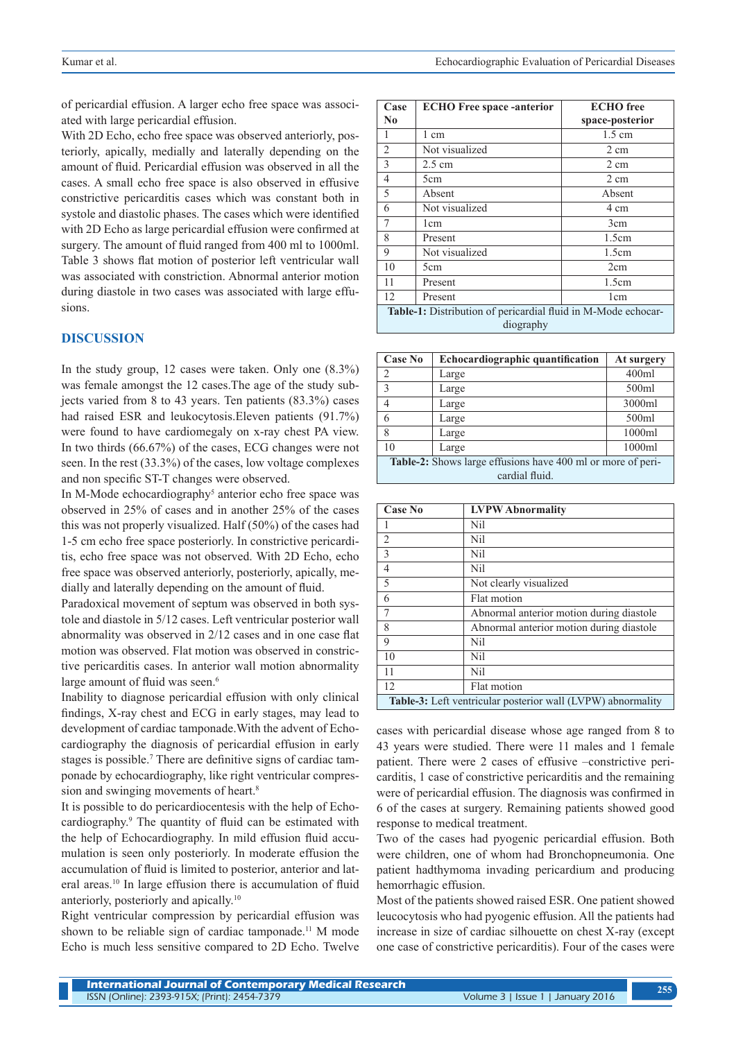of pericardial effusion. A larger echo free space was associated with large pericardial effusion.

With 2D Echo, echo free space was observed anteriorly, posteriorly, apically, medially and laterally depending on the amount of fluid. Pericardial effusion was observed in all the cases. A small echo free space is also observed in effusive constrictive pericarditis cases which was constant both in systole and diastolic phases. The cases which were identified with 2D Echo as large pericardial effusion were confirmed at surgery. The amount of fluid ranged from 400 ml to 1000ml. Table 3 shows flat motion of posterior left ventricular wall was associated with constriction. Abnormal anterior motion during diastole in two cases was associated with large effusions.

## **DISCUSSION**

In the study group, 12 cases were taken. Only one (8.3%) was female amongst the 12 cases.The age of the study subjects varied from 8 to 43 years. Ten patients (83.3%) cases had raised ESR and leukocytosis.Eleven patients (91.7%) were found to have cardiomegaly on x-ray chest PA view. In two thirds (66.67%) of the cases, ECG changes were not seen. In the rest (33.3%) of the cases, low voltage complexes and non specific ST-T changes were observed.

In M-Mode echocardiography<sup>5</sup> anterior echo free space was observed in 25% of cases and in another 25% of the cases this was not properly visualized. Half (50%) of the cases had 1-5 cm echo free space posteriorly. In constrictive pericarditis, echo free space was not observed. With 2D Echo, echo free space was observed anteriorly, posteriorly, apically, medially and laterally depending on the amount of fluid.

Paradoxical movement of septum was observed in both systole and diastole in 5/12 cases. Left ventricular posterior wall abnormality was observed in 2/12 cases and in one case flat motion was observed. Flat motion was observed in constrictive pericarditis cases. In anterior wall motion abnormality large amount of fluid was seen.<sup>6</sup>

Inability to diagnose pericardial effusion with only clinical findings, X-ray chest and ECG in early stages, may lead to development of cardiac tamponade.With the advent of Echocardiography the diagnosis of pericardial effusion in early stages is possible.<sup>7</sup> There are definitive signs of cardiac tamponade by echocardiography, like right ventricular compression and swinging movements of heart.<sup>8</sup>

It is possible to do pericardiocentesis with the help of Echocardiography.9 The quantity of fluid can be estimated with the help of Echocardiography. In mild effusion fluid accumulation is seen only posteriorly. In moderate effusion the accumulation of fluid is limited to posterior, anterior and lateral areas.<sup>10</sup> In large effusion there is accumulation of fluid anteriorly, posteriorly and apically.<sup>10</sup>

Right ventricular compression by pericardial effusion was shown to be reliable sign of cardiac tamponade.<sup>11</sup> M mode Echo is much less sensitive compared to 2D Echo. Twelve

| Case                                                                              | <b>ECHO Free space -anterior</b> | <b>ECHO</b> free |  |
|-----------------------------------------------------------------------------------|----------------------------------|------------------|--|
| No                                                                                |                                  | space-posterior  |  |
|                                                                                   | 1 cm                             | $1.5 \text{ cm}$ |  |
| $\overline{2}$                                                                    | Not visualized                   | 2 cm             |  |
| 3                                                                                 | $2.5 \text{ cm}$                 | 2 cm             |  |
| 4                                                                                 | 5cm                              | 2 cm             |  |
| 5                                                                                 | Absent                           | Absent           |  |
| 6                                                                                 | Not visualized                   | 4 cm             |  |
| 7                                                                                 | 1 <sub>cm</sub>                  | 3cm              |  |
| 8                                                                                 | Present                          | 1.5cm            |  |
| 9                                                                                 | Not visualized                   | 1.5cm            |  |
| 10                                                                                | 5cm                              | 2cm              |  |
| 11                                                                                | Present                          | 1.5cm            |  |
| 12                                                                                | Present                          | 1 <sub>cm</sub>  |  |
| <b>Table-1:</b> Distribution of pericardial fluid in M-Mode echocar-<br>diography |                                  |                  |  |

| <b>Case No</b>                                              | Echocardiographic quantification | At surgery |  |
|-------------------------------------------------------------|----------------------------------|------------|--|
| $\overline{2}$                                              | Large                            | 400ml      |  |
| $\overline{3}$                                              | Large                            | 500ml      |  |
| $\overline{4}$                                              | Large                            | 3000ml     |  |
| 6                                                           | Large                            | 500ml      |  |
| 8                                                           | Large                            | 1000ml     |  |
| 10                                                          | Large                            | 1000ml     |  |
| Table-2: Shows large effusions have 400 ml or more of peri- |                                  |            |  |
| cardial fluid.                                              |                                  |            |  |

| Case No                                                     | <b>LVPW</b> Abnormality                  |  |
|-------------------------------------------------------------|------------------------------------------|--|
|                                                             | Nil                                      |  |
| $\overline{2}$                                              | Nil                                      |  |
| 3                                                           | Nil                                      |  |
| $\overline{4}$                                              | Nil                                      |  |
| 5                                                           | Not clearly visualized                   |  |
| 6                                                           | Flat motion                              |  |
| $\overline{7}$                                              | Abnormal anterior motion during diastole |  |
| 8                                                           | Abnormal anterior motion during diastole |  |
| 9                                                           | Nil                                      |  |
| 10                                                          | Nil                                      |  |
| 11                                                          | Nil                                      |  |
| 12                                                          | Flat motion                              |  |
| Table-3: Left ventricular posterior wall (LVPW) abnormality |                                          |  |

cases with pericardial disease whose age ranged from 8 to 43 years were studied. There were 11 males and 1 female patient. There were 2 cases of effusive –constrictive pericarditis, 1 case of constrictive pericarditis and the remaining were of pericardial effusion. The diagnosis was confirmed in 6 of the cases at surgery. Remaining patients showed good response to medical treatment.

Two of the cases had pyogenic pericardial effusion. Both were children, one of whom had Bronchopneumonia. One patient hadthymoma invading pericardium and producing hemorrhagic effusion.

Most of the patients showed raised ESR. One patient showed leucocytosis who had pyogenic effusion. All the patients had increase in size of cardiac silhouette on chest X-ray (except one case of constrictive pericarditis). Four of the cases were